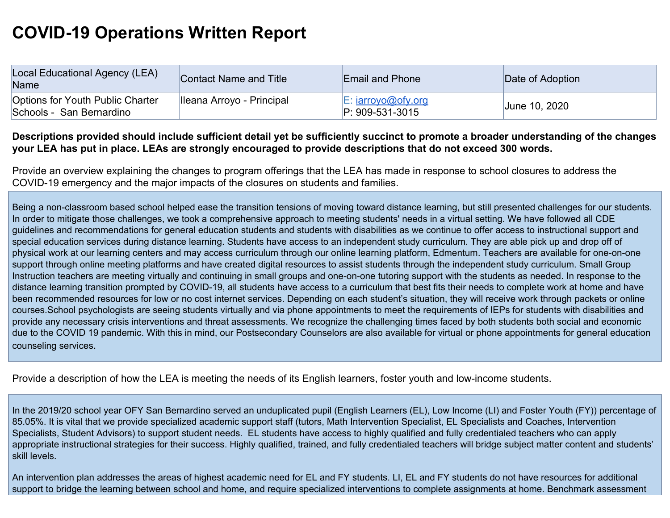## **COVID-19 Operations Written Report**

| Local Educational Agency (LEA)<br>Name                       | Contact Name and Title    | <b>Email and Phone</b>               | Date of Adoption |
|--------------------------------------------------------------|---------------------------|--------------------------------------|------------------|
| Options for Youth Public Charter<br>Schools - San Bernardino | Ileana Arroyo - Principal | E: iarrow@ofv.org<br>P: 909-531-3015 | June 10, 2020    |

## **Descriptions provided should include sufficient detail yet be sufficiently succinct to promote a broader understanding of the changes your LEA has put in place. LEAs are strongly encouraged to provide descriptions that do not exceed 300 words.**

Provide an overview explaining the changes to program offerings that the LEA has made in response to school closures to address the COVID-19 emergency and the major impacts of the closures on students and families.

Being a non-classroom based school helped ease the transition tensions of moving toward distance learning, but still presented challenges for our students. In order to mitigate those challenges, we took a comprehensive approach to meeting students' needs in a virtual setting. We have followed all CDE guidelines and recommendations for general education students and students with disabilities as we continue to offer access to instructional support and special education services during distance learning. Students have access to an independent study curriculum. They are able pick up and drop off of physical work at our learning centers and may access curriculum through our online learning platform, Edmentum. Teachers are available for one-on-one support through online meeting platforms and have created digital resources to assist students through the independent study curriculum. Small Group Instruction teachers are meeting virtually and continuing in small groups and one-on-one tutoring support with the students as needed. In response to the distance learning transition prompted by COVID-19, all students have access to a curriculum that best fits their needs to complete work at home and have been recommended resources for low or no cost internet services. Depending on each student's situation, they will receive work through packets or online courses.School psychologists are seeing students virtually and via phone appointments to meet the requirements of IEPs for students with disabilities and provide any necessary crisis interventions and threat assessments. We recognize the challenging times faced by both students both social and economic due to the COVID 19 pandemic. With this in mind, our Postsecondary Counselors are also available for virtual or phone appointments for general education counseling services.

Provide a description of how the LEA is meeting the needs of its English learners, foster youth and low-income students.

In the 2019/20 school year OFY San Bernardino served an unduplicated pupil (English Learners (EL), Low Income (LI) and Foster Youth (FY)) percentage of 85.05%. It is vital that we provide specialized academic support staff (tutors, Math Intervention Specialist, EL Specialists and Coaches, Intervention Specialists, Student Advisors) to support student needs. EL students have access to highly qualified and fully credentialed teachers who can apply appropriate instructional strategies for their success. Highly qualified, trained, and fully credentialed teachers will bridge subject matter content and students' skill levels.

An intervention plan addresses the areas of highest academic need for EL and FY students. LI, EL and FY students do not have resources for additional support to bridge the learning between school and home, and require specialized interventions to complete assignments at home. Benchmark assessment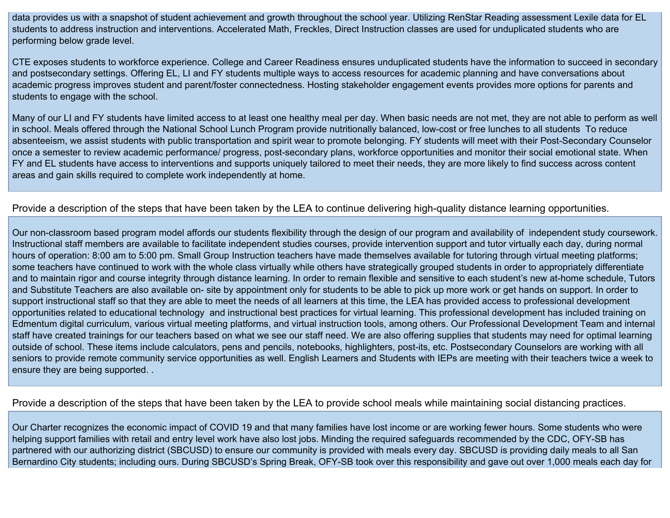data provides us with a snapshot of student achievement and growth throughout the school year. Utilizing RenStar Reading assessment Lexile data for EL students to address instruction and interventions. Accelerated Math, Freckles, Direct Instruction classes are used for unduplicated students who are performing below grade level.

CTE exposes students to workforce experience. College and Career Readiness ensures unduplicated students have the information to succeed in secondary and postsecondary settings. Offering EL, LI and FY students multiple ways to access resources for academic planning and have conversations about academic progress improves student and parent/foster connectedness. Hosting stakeholder engagement events provides more options for parents and students to engage with the school.

Many of our LI and FY students have limited access to at least one healthy meal per day. When basic needs are not met, they are not able to perform as well in school. Meals offered through the National School Lunch Program provide nutritionally balanced, low-cost or free lunches to all students To reduce absenteeism, we assist students with public transportation and spirit wear to promote belonging. FY students will meet with their Post-Secondary Counselor once a semester to review academic performance/ progress, post-secondary plans, workforce opportunities and monitor their social emotional state. When FY and EL students have access to interventions and supports uniquely tailored to meet their needs, they are more likely to find success across content areas and gain skills required to complete work independently at home.

## Provide a description of the steps that have been taken by the LEA to continue delivering high-quality distance learning opportunities.

Our non-classroom based program model affords our students flexibility through the design of our program and availability of independent study coursework. Instructional staff members are available to facilitate independent studies courses, provide intervention support and tutor virtually each day, during normal hours of operation: 8:00 am to 5:00 pm. Small Group Instruction teachers have made themselves available for tutoring through virtual meeting platforms; some teachers have continued to work with the whole class virtually while others have strategically grouped students in order to appropriately differentiate and to maintain rigor and course integrity through distance learning. In order to remain flexible and sensitive to each student's new at-home schedule, Tutors and Substitute Teachers are also available on- site by appointment only for students to be able to pick up more work or get hands on support. In order to support instructional staff so that they are able to meet the needs of all learners at this time, the LEA has provided access to professional development opportunities related to educational technology and instructional best practices for virtual learning. This professional development has included training on Edmentum digital curriculum, various virtual meeting platforms, and virtual instruction tools, among others. Our Professional Development Team and internal staff have created trainings for our teachers based on what we see our staff need. We are also offering supplies that students may need for optimal learning outside of school. These items include calculators, pens and pencils, notebooks, highlighters, post-its, etc. Postsecondary Counselors are working with all seniors to provide remote community service opportunities as well. English Learners and Students with IEPs are meeting with their teachers twice a week to ensure they are being supported. .

## Provide a description of the steps that have been taken by the LEA to provide school meals while maintaining social distancing practices.

Our Charter recognizes the economic impact of COVID 19 and that many families have lost income or are working fewer hours. Some students who were helping support families with retail and entry level work have also lost jobs. Minding the required safeguards recommended by the CDC, OFY-SB has partnered with our authorizing district (SBCUSD) to ensure our community is provided with meals every day. SBCUSD is providing daily meals to all San Bernardino City students; including ours. During SBCUSD's Spring Break, OFY-SB took over this responsibility and gave out over 1,000 meals each day for